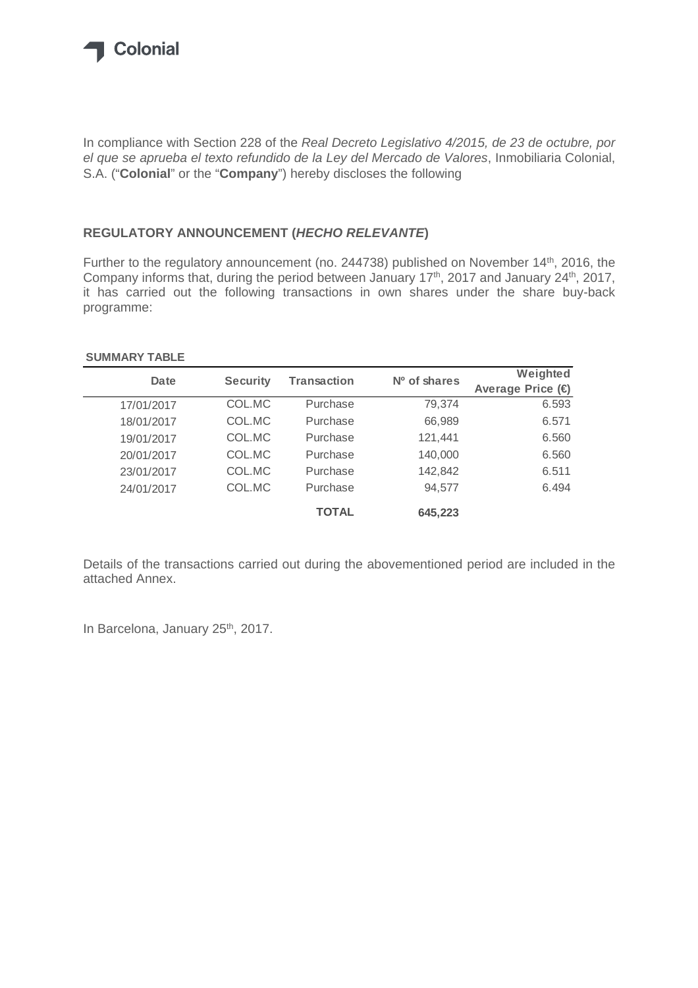

In compliance with Section 228 of the *Real Decreto Legislativo 4/2015, de 23 de octubre, por el que se aprueba el texto refundido de la Ley del Mercado de Valores*, Inmobiliaria Colonial, S.A. ("**Colonial**" or the "**Company**") hereby discloses the following

## **REGULATORY ANNOUNCEMENT (***HECHO RELEVANTE***)**

Further to the regulatory announcement (no. 244738) published on November 14<sup>th</sup>, 2016, the Company informs that, during the period between January 17<sup>th</sup>, 2017 and January 24<sup>th</sup>, 2017, it has carried out the following transactions in own shares under the share buy-back programme:

## **SUMMARY TABLE**

| Date       | <b>Security</b> | Transaction  | Nº of shares | Weighted<br>Average Price (€ |
|------------|-----------------|--------------|--------------|------------------------------|
|            |                 |              |              |                              |
| 17/01/2017 | COL.MC          | Purchase     | 79,374       | 6.593                        |
| 18/01/2017 | COL.MC          | Purchase     | 66,989       | 6.571                        |
| 19/01/2017 | COL.MC          | Purchase     | 121,441      | 6.560                        |
| 20/01/2017 | COL.MC          | Purchase     | 140,000      | 6.560                        |
| 23/01/2017 | COL.MC          | Purchase     | 142,842      | 6.511                        |
| 24/01/2017 | COL.MC          | Purchase     | 94.577       | 6.494                        |
|            |                 | <b>TOTAL</b> | 645,223      |                              |

Details of the transactions carried out during the abovementioned period are included in the attached Annex.

In Barcelona, January 25<sup>th</sup>, 2017.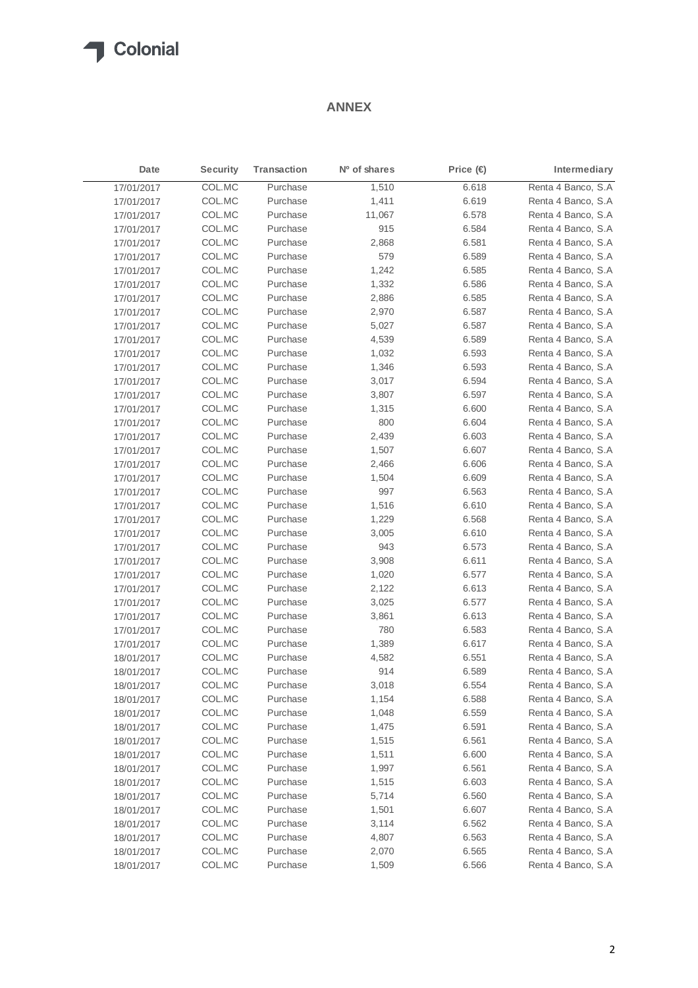## **T** Colonial

## **ANNEX**

| Date       | <b>Security</b> | Transaction | Nº of shares | Price $\textcircled{\textcircled{\textcirc}}$ | Intermediary        |
|------------|-----------------|-------------|--------------|-----------------------------------------------|---------------------|
| 17/01/2017 | COL.MC          | Purchase    | 1,510        | 6.618                                         | Renta 4 Banco, S.A  |
| 17/01/2017 | COL.MC          | Purchase    | 1,411        | 6.619                                         | Renta 4 Banco, S.A  |
| 17/01/2017 | COL.MC          | Purchase    | 11,067       | 6.578                                         | Renta 4 Banco, S.A  |
| 17/01/2017 | COL.MC          | Purchase    | 915          | 6.584                                         | Renta 4 Banco, S.A  |
| 17/01/2017 | COL.MC          | Purchase    | 2,868        | 6.581                                         | Renta 4 Banco, S.A  |
| 17/01/2017 | COL.MC          | Purchase    | 579          | 6.589                                         | Renta 4 Banco, S.A  |
| 17/01/2017 | COL.MC          | Purchase    | 1,242        | 6.585                                         | Renta 4 Banco, S.A  |
| 17/01/2017 | COL.MC          | Purchase    | 1,332        | 6.586                                         | Renta 4 Banco, S.A  |
| 17/01/2017 | COL.MC          | Purchase    | 2,886        | 6.585                                         | Renta 4 Banco, S.A  |
| 17/01/2017 | COL.MC          | Purchase    | 2,970        | 6.587                                         | Renta 4 Banco, S.A  |
| 17/01/2017 | COL.MC          | Purchase    | 5,027        | 6.587                                         | Renta 4 Banco, S.A  |
| 17/01/2017 | COL.MC          | Purchase    | 4,539        | 6.589                                         | Renta 4 Banco, S.A  |
| 17/01/2017 | COL.MC          | Purchase    | 1,032        | 6.593                                         | Renta 4 Banco, S.A  |
| 17/01/2017 | COL.MC          | Purchase    | 1,346        | 6.593                                         | Renta 4 Banco, S.A  |
| 17/01/2017 | COL.MC          | Purchase    | 3,017        | 6.594                                         | Renta 4 Banco, S.A  |
| 17/01/2017 | COL.MC          | Purchase    | 3,807        | 6.597                                         | Renta 4 Banco, S.A  |
| 17/01/2017 | COL.MC          | Purchase    | 1,315        | 6.600                                         | Renta 4 Banco, S.A  |
| 17/01/2017 | COL.MC          | Purchase    | 800          | 6.604                                         | Renta 4 Banco, S.A  |
| 17/01/2017 | COL.MC          | Purchase    | 2,439        | 6.603                                         | Renta 4 Banco, S.A  |
| 17/01/2017 | COL.MC          | Purchase    | 1,507        | 6.607                                         | Renta 4 Banco, S.A  |
| 17/01/2017 | COL.MC          | Purchase    | 2,466        | 6.606                                         | Renta 4 Banco, S.A  |
| 17/01/2017 | COL.MC          | Purchase    | 1,504        | 6.609                                         | Renta 4 Banco, S.A  |
| 17/01/2017 | COL.MC          | Purchase    | 997          | 6.563                                         | Renta 4 Banco, S.A  |
| 17/01/2017 | COL.MC          | Purchase    | 1,516        | 6.610                                         | Renta 4 Banco, S.A  |
| 17/01/2017 | COL.MC          | Purchase    | 1,229        | 6.568                                         | Renta 4 Banco, S.A  |
| 17/01/2017 | COL.MC          | Purchase    | 3,005        | 6.610                                         | Renta 4 Banco, S.A  |
| 17/01/2017 | COL.MC          | Purchase    | 943          | 6.573                                         | Renta 4 Banco, S.A  |
| 17/01/2017 | COL.MC          | Purchase    | 3,908        | 6.611                                         | Renta 4 Banco, S.A  |
| 17/01/2017 | COL.MC          | Purchase    | 1,020        | 6.577                                         | Renta 4 Banco, S.A  |
| 17/01/2017 | COL.MC          | Purchase    | 2,122        | 6.613                                         | Renta 4 Banco, S.A  |
| 17/01/2017 | COL.MC          | Purchase    | 3,025        | 6.577                                         | Renta 4 Banco, S.A  |
| 17/01/2017 | COL.MC          | Purchase    | 3,861        | 6.613                                         | Renta 4 Banco, S.A  |
| 17/01/2017 | COL.MC          | Purchase    | 780          | 6.583                                         | Renta 4 Banco, S.A  |
| 17/01/2017 | COL.MC          | Purchase    | 1,389        | 6.617                                         | Renta 4 Banco, S.A  |
| 18/01/2017 | COL.MC          | Purchase    | 4,582        | 6.551                                         | Renta 4 Banco, S.A  |
| 18/01/2017 | COL.MC          | Purchase    | 914          | 6.589                                         | Renta 4 Banco, S.A  |
| 18/01/2017 | COL.MC          | Purchase    | 3,018        | 6.554                                         | Renta 4 Banco, S.A  |
| 18/01/2017 | COL.MC          | Purchase    | 1,154        | 6.588                                         | Renta 4 Banco, S.A  |
| 18/01/2017 | COL.MC          | Purchase    | 1,048        | 6.559                                         | Renta 4 Banco, S.A  |
| 18/01/2017 | COL.MC          | Purchase    | 1,475        | 6.591                                         | Renta 4 Banco, S.A. |
| 18/01/2017 | COL.MC          | Purchase    | 1,515        | 6.561                                         | Renta 4 Banco, S.A  |
| 18/01/2017 | COL.MC          | Purchase    | 1,511        | 6.600                                         | Renta 4 Banco, S.A  |
| 18/01/2017 | COL.MC          | Purchase    | 1,997        | 6.561                                         | Renta 4 Banco, S.A  |
| 18/01/2017 | COL.MC          | Purchase    | 1,515        | 6.603                                         | Renta 4 Banco, S.A  |
| 18/01/2017 | COL.MC          | Purchase    | 5,714        | 6.560                                         | Renta 4 Banco, S.A  |
| 18/01/2017 | COL.MC          | Purchase    | 1,501        | 6.607                                         | Renta 4 Banco, S.A  |
| 18/01/2017 | COL.MC          | Purchase    | 3,114        | 6.562                                         | Renta 4 Banco, S.A  |
| 18/01/2017 | COL.MC          | Purchase    | 4,807        | 6.563                                         | Renta 4 Banco, S.A  |
| 18/01/2017 | COL.MC          | Purchase    | 2,070        | 6.565                                         | Renta 4 Banco, S.A  |
| 18/01/2017 | COL.MC          | Purchase    | 1,509        | 6.566                                         | Renta 4 Banco, S.A  |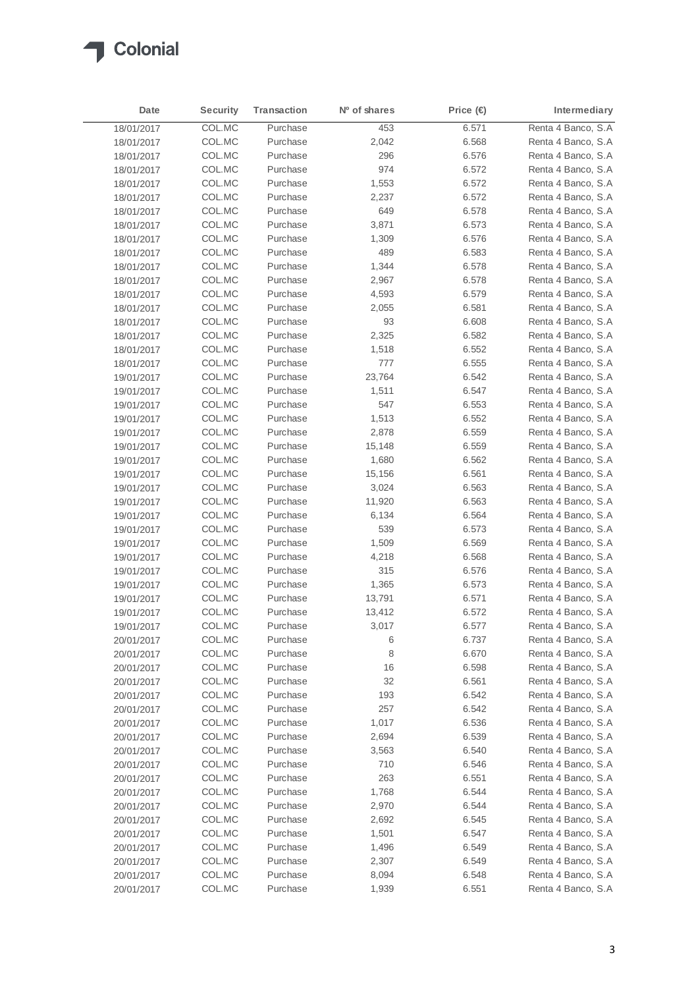

| Date       | <b>Security</b> | <b>Transaction</b> | Nº of shares | Price (€ | Intermediary        |
|------------|-----------------|--------------------|--------------|----------|---------------------|
| 18/01/2017 | COL.MC          | Purchase           | 453          | 6.571    | Renta 4 Banco, S.A  |
| 18/01/2017 | COL.MC          | Purchase           | 2,042        | 6.568    | Renta 4 Banco, S.A. |
| 18/01/2017 | COL.MC          | Purchase           | 296          | 6.576    | Renta 4 Banco, S.A  |
| 18/01/2017 | COL.MC          | Purchase           | 974          | 6.572    | Renta 4 Banco, S.A  |
| 18/01/2017 | COL.MC          | Purchase           | 1,553        | 6.572    | Renta 4 Banco, S.A  |
| 18/01/2017 | COL.MC          | Purchase           | 2,237        | 6.572    | Renta 4 Banco, S.A  |
| 18/01/2017 | COL.MC          | Purchase           | 649          | 6.578    | Renta 4 Banco, S.A  |
| 18/01/2017 | COL.MC          | Purchase           | 3,871        | 6.573    | Renta 4 Banco, S.A  |
| 18/01/2017 | COL.MC          | Purchase           | 1,309        | 6.576    | Renta 4 Banco, S.A  |
| 18/01/2017 | COL.MC          | Purchase           | 489          | 6.583    | Renta 4 Banco, S.A. |
| 18/01/2017 | COL.MC          | Purchase           | 1,344        | 6.578    | Renta 4 Banco, S.A  |
| 18/01/2017 | COL.MC          | Purchase           | 2,967        | 6.578    | Renta 4 Banco, S.A  |
| 18/01/2017 | COL.MC          | Purchase           | 4,593        | 6.579    | Renta 4 Banco, S.A  |
| 18/01/2017 | COL.MC          | Purchase           | 2,055        | 6.581    | Renta 4 Banco, S.A  |
| 18/01/2017 | COL.MC          | Purchase           | 93           | 6.608    | Renta 4 Banco, S.A  |
| 18/01/2017 | COL.MC          | Purchase           | 2,325        | 6.582    | Renta 4 Banco, S.A  |
| 18/01/2017 | COL.MC          | Purchase           | 1,518        | 6.552    | Renta 4 Banco, S.A  |
| 18/01/2017 | COL.MC          | Purchase           | 777          | 6.555    | Renta 4 Banco, S.A  |
| 19/01/2017 | COL.MC          | Purchase           | 23,764       | 6.542    | Renta 4 Banco, S.A  |
| 19/01/2017 | COL.MC          | Purchase           | 1,511        | 6.547    | Renta 4 Banco, S.A  |
| 19/01/2017 | COL.MC          | Purchase           | 547          | 6.553    | Renta 4 Banco, S.A  |
| 19/01/2017 | COL.MC          | Purchase           | 1,513        | 6.552    | Renta 4 Banco, S.A  |
| 19/01/2017 | COL.MC          | Purchase           | 2,878        | 6.559    | Renta 4 Banco, S.A  |
| 19/01/2017 | COL.MC          | Purchase           | 15,148       | 6.559    | Renta 4 Banco, S.A  |
| 19/01/2017 | COL.MC          | Purchase           | 1,680        | 6.562    | Renta 4 Banco, S.A  |
| 19/01/2017 | COL.MC          | Purchase           | 15,156       | 6.561    | Renta 4 Banco, S.A  |
| 19/01/2017 | COL.MC          | Purchase           | 3,024        | 6.563    | Renta 4 Banco, S.A  |
| 19/01/2017 | COL.MC          | Purchase           | 11,920       | 6.563    | Renta 4 Banco, S.A  |
| 19/01/2017 | COL.MC          | Purchase           | 6,134        | 6.564    | Renta 4 Banco, S.A  |
| 19/01/2017 | COL.MC          | Purchase           | 539          | 6.573    | Renta 4 Banco, S.A  |
| 19/01/2017 | COL.MC          | Purchase           | 1,509        | 6.569    | Renta 4 Banco, S.A  |
| 19/01/2017 | COL.MC          | Purchase           | 4,218        | 6.568    | Renta 4 Banco, S.A  |
| 19/01/2017 | COL.MC          | Purchase           | 315          | 6.576    | Renta 4 Banco, S.A  |
| 19/01/2017 | COL.MC          | Purchase           | 1,365        | 6.573    | Renta 4 Banco, S.A  |
| 19/01/2017 | COL.MC          | Purchase           | 13,791       | 6.571    | Renta 4 Banco, S.A  |
| 19/01/2017 | COL.MC          | Purchase           | 13,412       | 6.572    | Renta 4 Banco, S.A  |
| 19/01/2017 | COL.MC          | Purchase           | 3,017        | 6.577    | Renta 4 Banco, S.A  |
| 20/01/2017 | COL.MC          | Purchase           | 6            | 6.737    | Renta 4 Banco, S.A  |
| 20/01/2017 | COL.MC          | Purchase           | 8            | 6.670    | Renta 4 Banco, S.A  |
| 20/01/2017 | COL.MC          | Purchase           | 16           | 6.598    | Renta 4 Banco, S.A  |
| 20/01/2017 | COL.MC          | Purchase           | 32           | 6.561    | Renta 4 Banco, S.A  |
| 20/01/2017 | COL.MC          | Purchase           | 193          | 6.542    | Renta 4 Banco, S.A  |
| 20/01/2017 | COL.MC          | Purchase           | 257          | 6.542    | Renta 4 Banco, S.A  |
| 20/01/2017 | COL.MC          | Purchase           | 1,017        | 6.536    | Renta 4 Banco, S.A  |
| 20/01/2017 | COL.MC          | Purchase           | 2,694        | 6.539    | Renta 4 Banco, S.A  |
| 20/01/2017 | COL.MC          | Purchase           | 3,563        | 6.540    | Renta 4 Banco, S.A  |
| 20/01/2017 | COL.MC          | Purchase           | 710          | 6.546    | Renta 4 Banco, S.A  |
| 20/01/2017 | COL.MC          | Purchase           | 263          | 6.551    | Renta 4 Banco, S.A  |
| 20/01/2017 | COL.MC          | Purchase           | 1,768        | 6.544    | Renta 4 Banco, S.A  |
| 20/01/2017 | COL.MC          | Purchase           | 2,970        | 6.544    | Renta 4 Banco, S.A  |
| 20/01/2017 | COL.MC          | Purchase           | 2,692        | 6.545    | Renta 4 Banco, S.A  |
| 20/01/2017 | COL.MC          | Purchase           | 1,501        | 6.547    | Renta 4 Banco, S.A  |
| 20/01/2017 | COL.MC          | Purchase           | 1,496        | 6.549    | Renta 4 Banco, S.A  |
| 20/01/2017 | COL.MC          | Purchase           | 2,307        | 6.549    | Renta 4 Banco, S.A  |
| 20/01/2017 | COL.MC          | Purchase           | 8,094        | 6.548    | Renta 4 Banco, S.A  |
| 20/01/2017 | COL.MC          | Purchase           | 1,939        | 6.551    | Renta 4 Banco, S.A  |
|            |                 |                    |              |          |                     |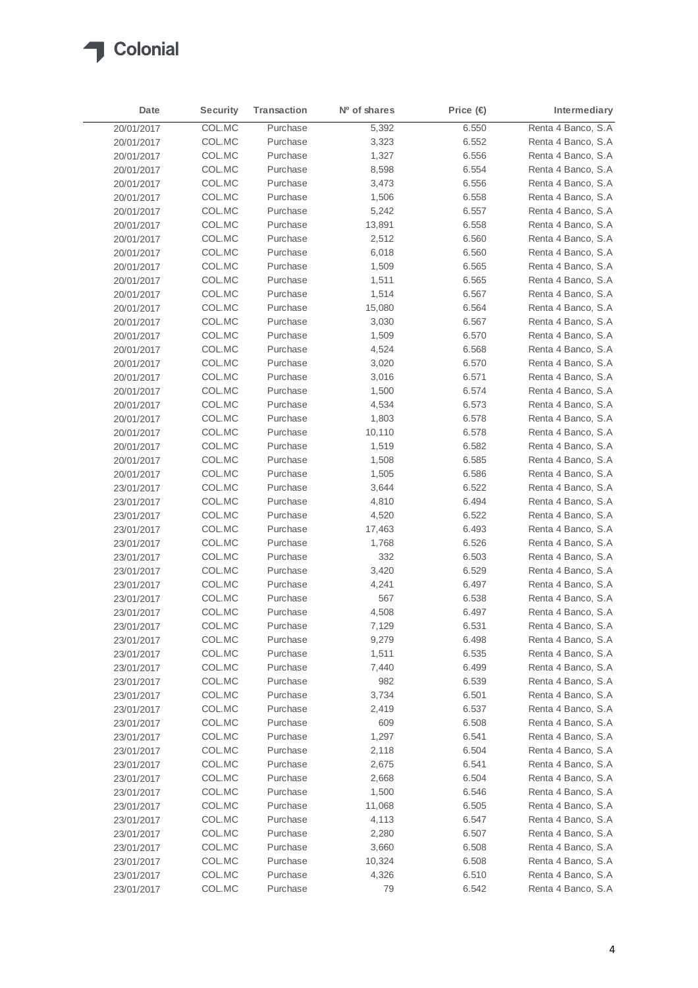

| Date                     | <b>Security</b> | <b>Transaction</b> | Nº of shares | Price (€)      | Intermediary                             |
|--------------------------|-----------------|--------------------|--------------|----------------|------------------------------------------|
| 20/01/2017               | COL.MC          | Purchase           | 5,392        | 6.550          | Renta 4 Banco, S.A                       |
| 20/01/2017               | COL.MC          | Purchase           | 3,323        | 6.552          | Renta 4 Banco, S.A.                      |
| 20/01/2017               | COL.MC          | Purchase           | 1,327        | 6.556          | Renta 4 Banco, S.A                       |
| 20/01/2017               | COL.MC          | Purchase           | 8,598        | 6.554          | Renta 4 Banco, S.A                       |
| 20/01/2017               | COL.MC          | Purchase           | 3,473        | 6.556          | Renta 4 Banco, S.A                       |
| 20/01/2017               | COL.MC          | Purchase           | 1,506        | 6.558          | Renta 4 Banco, S.A                       |
| 20/01/2017               | COL.MC          | Purchase           | 5,242        | 6.557          | Renta 4 Banco, S.A                       |
| 20/01/2017               | COL.MC          | Purchase           | 13,891       | 6.558          | Renta 4 Banco, S.A                       |
| 20/01/2017               | COL.MC          | Purchase           | 2,512        | 6.560          | Renta 4 Banco, S.A                       |
| 20/01/2017               | COL.MC          | Purchase           | 6,018        | 6.560          | Renta 4 Banco, S.A                       |
| 20/01/2017               | COL.MC          | Purchase           | 1,509        | 6.565          | Renta 4 Banco, S.A                       |
| 20/01/2017               | COL.MC          | Purchase           | 1,511        | 6.565          | Renta 4 Banco, S.A                       |
| 20/01/2017               | COL.MC          | Purchase           | 1,514        | 6.567          | Renta 4 Banco, S.A                       |
| 20/01/2017               | COL.MC          | Purchase           | 15,080       | 6.564          | Renta 4 Banco, S.A                       |
| 20/01/2017               | COL.MC          | Purchase           | 3,030        | 6.567          | Renta 4 Banco, S.A                       |
| 20/01/2017               | COL.MC          | Purchase           | 1,509        | 6.570          | Renta 4 Banco, S.A                       |
| 20/01/2017               | COL.MC          | Purchase           | 4,524        | 6.568          | Renta 4 Banco, S.A                       |
| 20/01/2017               | COL.MC          | Purchase           | 3,020        | 6.570          | Renta 4 Banco, S.A                       |
| 20/01/2017               | COL.MC          | Purchase           | 3,016        | 6.571          | Renta 4 Banco, S.A                       |
| 20/01/2017               | COL.MC          | Purchase           | 1,500        | 6.574          | Renta 4 Banco, S.A                       |
| 20/01/2017               | COL.MC          | Purchase           | 4,534        | 6.573          | Renta 4 Banco, S.A                       |
| 20/01/2017               | COL.MC          | Purchase           | 1,803        | 6.578          | Renta 4 Banco, S.A                       |
| 20/01/2017               | COL.MC          | Purchase           | 10,110       | 6.578          | Renta 4 Banco, S.A                       |
| 20/01/2017               | COL.MC          | Purchase           | 1,519        | 6.582          | Renta 4 Banco, S.A                       |
| 20/01/2017               | COL.MC          | Purchase           | 1,508        | 6.585          | Renta 4 Banco, S.A                       |
| 20/01/2017               | COL.MC          | Purchase           | 1,505        | 6.586          | Renta 4 Banco, S.A                       |
| 23/01/2017               | COL.MC          | Purchase           | 3,644        | 6.522          | Renta 4 Banco, S.A                       |
| 23/01/2017               | COL.MC          | Purchase           | 4,810        | 6.494          | Renta 4 Banco, S.A                       |
| 23/01/2017               | COL.MC          | Purchase           | 4,520        | 6.522          | Renta 4 Banco, S.A                       |
|                          | COL.MC          | Purchase           | 17,463       | 6.493          | Renta 4 Banco, S.A                       |
| 23/01/2017<br>23/01/2017 | COL.MC          | Purchase           | 1,768        | 6.526          | Renta 4 Banco, S.A                       |
| 23/01/2017               | COL.MC          | Purchase           | 332          | 6.503          | Renta 4 Banco, S.A                       |
|                          | COL.MC          | Purchase           | 3,420        | 6.529          | Renta 4 Banco, S.A                       |
| 23/01/2017               | COL.MC          | Purchase           | 4,241        | 6.497          | Renta 4 Banco, S.A                       |
| 23/01/2017               | COL.MC          | Purchase           | 567          | 6.538          | Renta 4 Banco, S.A                       |
| 23/01/2017               | COL.MC          | Purchase           | 4,508        | 6.497          | Renta 4 Banco, S.A                       |
| 23/01/2017               | COL.MC          | Purchase           | 7,129        | 6.531          | Renta 4 Banco, S.A                       |
| 23/01/2017               | COL.MC          | Purchase           | 9,279        | 6.498          | Renta 4 Banco, S.A                       |
| 23/01/2017<br>23/01/2017 | COL.MC          | Purchase           | 1,511        | 6.535          | Renta 4 Banco, S.A                       |
|                          | COL.MC          | Purchase           | 7,440        | 6.499          | Renta 4 Banco, S.A                       |
| 23/01/2017<br>23/01/2017 | COL.MC          | Purchase           | 982          |                | Renta 4 Banco, S.A                       |
|                          | COL.MC          | Purchase           | 3,734        | 6.539<br>6.501 | Renta 4 Banco, S.A                       |
| 23/01/2017               |                 |                    |              |                |                                          |
| 23/01/2017               | COL.MC          | Purchase           | 2,419        | 6.537          | Renta 4 Banco, S.A<br>Renta 4 Banco, S.A |
| 23/01/2017               | COL.MC          | Purchase           | 609          | 6.508          |                                          |
| 23/01/2017               | COL.MC          | Purchase           | 1,297        | 6.541          | Renta 4 Banco, S.A                       |
| 23/01/2017               | COL.MC          | Purchase           | 2,118        | 6.504          | Renta 4 Banco, S.A<br>Renta 4 Banco, S.A |
| 23/01/2017               | COL.MC          | Purchase           | 2,675        | 6.541          |                                          |
| 23/01/2017               | COL.MC          | Purchase           | 2,668        | 6.504          | Renta 4 Banco, S.A                       |
| 23/01/2017               | COL.MC          | Purchase           | 1,500        | 6.546          | Renta 4 Banco, S.A                       |
| 23/01/2017               | COL.MC          | Purchase           | 11,068       | 6.505          | Renta 4 Banco, S.A                       |
| 23/01/2017               | COL.MC          | Purchase           | 4,113        | 6.547          | Renta 4 Banco, S.A                       |
| 23/01/2017               | COL.MC          | Purchase           | 2,280        | 6.507          | Renta 4 Banco, S.A                       |
| 23/01/2017               | COL.MC          | Purchase           | 3,660        | 6.508          | Renta 4 Banco, S.A                       |
| 23/01/2017               | COL.MC          | Purchase           | 10,324       | 6.508          | Renta 4 Banco, S.A                       |
| 23/01/2017               | COL.MC          | Purchase           | 4,326        | 6.510          | Renta 4 Banco, S.A                       |
| 23/01/2017               | COL.MC          | Purchase           | 79           | 6.542          | Renta 4 Banco, S.A                       |